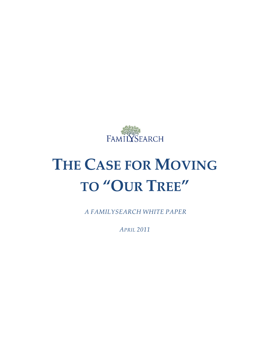

# **THE CASE FOR MOVING TO "OUR TREE"**

*A FAMILYSEARCH WHITE PAPER*

*APRIL 2011*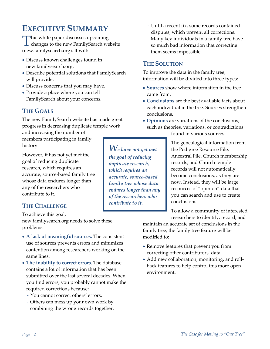# **EXECUTIVE SUMMARY**

This white paper discusses upcoming<br>changes to the new FamilySearch we  $\perp$  changes to the new FamilySearch website (new.familysearch.org). It will:

- Discuss known challenges found in new.familysearch.org.
- Describe potential solutions that FamilySearch will provide.
- Discuss concerns that you may have.
- Provide a place where you can tell FamilySearch about your concerns.

### **THE GOALS**

The new FamilySearch website has made great progress in decreasing duplicate temple work

and increasing the number of members participating in family history.

However, it has not yet met the goal of reducing duplicate research, which requires an accurate, source-based family tree whose data endures longer than any of the researchers who contribute to it.

### **THE CHALLENGE**

To achieve this goal, new.familysearch.org needs to solve these problems:

- **A lack of meaningful sources.** The consistent use of sources prevents errors and minimizes contention among researchers working on the same lines.
- **The inability to correct errors.** The database contains a lot of information that has been submitted over the last several decades. When you find errors, you probably cannot make the required corrections because:
	- You cannot correct others' errors.
	- Others can mess up your own work by combining the wrong records together.
- Until a recent fix, some records contained disputes, which prevent all corrections.
- Many key individuals in a family tree have so much bad information that correcting them seems impossible.

### **THE SOLUTION**

To improve the data in the family tree, information will be divided into three types:

- **Sources** show where information in the tree came from.
- **Conclusions** are the best available facts about each individual in the tree. Sources strengthen conclusions.
- **Opinions** are variations of the conclusions, such as theories, variations, or contradictions found in various sources.

*We have not yet met the goal of reducing duplicate research, which requires an accurate, source-based family tree whose data endures longer than any of the researchers who contribute to it.*

The genealogical information from the Pedigree Resource File, Ancestral File, Church membership records, and Church temple records will not automatically become conclusions, as they are now. Instead, they will be large resources of "opinion" data that you can search and use to create conclusions.

To allow a community of interested researchers to identify, record, and

maintain an accurate set of conclusions in the family tree, the family tree feature will be modified to:

- Remove features that prevent you from correcting other contributors' data.
- Add new collaboration, monitoring, and rollback features to help control this more open environment.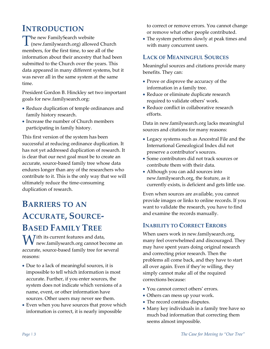# **INTRODUCTION**

The new FamilySearch website<br>
(new.familysearch.org) allowe (new.familysearch.org) allowed Church members, for the first time, to see all of the information about their ancestry that had been submitted to the Church over the years. This data appeared in many different systems, but it was never all in the same system at the same time.

President Gordon B. Hinckley set two important goals for new.familysearch.org:

- Reduce duplication of temple ordinances and family history research.
- Increase the number of Church members participating in family history.

This first version of the system has been successful at reducing ordinance duplication. It has not yet addressed duplication of research. It is clear that our next goal must be to create an accurate, source-based family tree whose data endures longer than any of the researchers who contribute to it. This is the only way that we will ultimately reduce the time-consuming duplication of research.

# **BARRIERS TO AN ACCURATE, SOURCE-BASED FAMILY TREE**

ith its current features and data,  $\mathbf{W}^\text{ith}$  its current features and data,<br>new.familysearch.org cannot become an accurate, source-based family tree for several reasons:

- Due to a lack of meaningful sources, it is impossible to tell which information is most accurate. Further, if you enter sources, the system does not indicate which versions of a name, event, or other information have sources. Other users may never see them.
- Even when you have sources that prove which information is correct, it is nearly impossible

to correct or remove errors. You cannot change or remove what other people contributed.

• The system performs slowly at peak times and with many concurrent users.

#### **LACK OF MEANINGFUL SOURCES**

Meaningful sources and citations provide many benefits. They can:

- Prove or disprove the accuracy of the information in a family tree.
- Reduce or eliminate duplicate research required to validate others' work.
- Reduce conflict in collaborative research efforts.

Data in new.familysearch.org lacks meaningful sources and citations for many reasons:

- Legacy systems such as Ancestral File and the International Genealogical Index did not preserve a contributor's sources.
- Some contributors did not track sources or contribute them with their data.
- Although you can add sources into new.familysearch.org, the feature, as it currently exists, is deficient and gets little use.

Even when sources are available, you cannot provide images or links to online records. If you want to validate the research, you have to find and examine the records manually.

### **INABILITY TO CORRECT ERRORS**

When users work in new.familysearch.org, many feel overwhelmed and discouraged. They may have spent years doing original research and correcting prior research. Then the problems all come back, and they have to start all over again. Even if they're willing, they simply cannot make all of the required corrections because:

- You cannot correct others' errors.
- Others can mess up your work.
- The record contains disputes.
- Many key individuals in a family tree have so much bad information that correcting them seems almost impossible.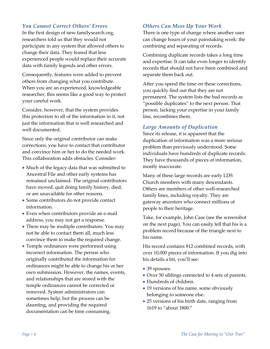#### *You Cannot Correct Others' Errors*

In the first design of new.familysearch.org, researchers told us that they would not participate in any system that allowed others to change their data. They feared that less experienced people would replace their accurate data with family legends and other errors.

Consequently, features were added to prevent others from changing what you contribute. When you are an experienced, knowledgeable researcher, this seems like a good way to protect your careful work.

Consider, however, that the system provides this protection to all of the information in it, not just the information that is well researched and well documented.

Since only the original contributor can make corrections, you have to contact that contributor and convince him or her to do the needed work. This collaboration adds obstacles. Consider:

- Much of the legacy data that was submitted to Ancestral File and other early systems has remained unclaimed. The original contributors have moved, quit doing family history, died, or are unavailable for other reasons.
- Some contributors do not provide contact information.
- Even when contributors provide an e-mail address, you may not get a response.
- There may be multiple contributors. You may not be able to contact them all, much less convince them to make the required change.
- Temple ordinances were performed using incorrect information. The person who originally contributed the information for ordinances might be able to change his or her own submission. However, the names, events, and relationships that are stored with the temple ordinances cannot be corrected or removed. System administrators can sometimes help, but the process can be daunting, and providing the required documentation can be time consuming.

#### *Others Can Mess Up Your Work*

There is one type of change where another user can change hours of your painstaking work: the combining and separating of records.

Combining duplicate records takes a long time and expertise. It can take even longer to identify records that should not have been combined and separate them back out.

After you spend the time on these corrections, you quickly find out that they are not permanent. The system lists the bad records as "possible duplicates" to the next person. That person, lacking your expertise in your family line, recombines them.

#### *Large Amounts of Duplication*

Since its release, it is apparent that the duplication of information was a more serious problem than previously understood. Some individuals have hundreds of duplicate records. They have thousands of pieces of information, mostly inaccurate.

Many of these large records are early LDS Church members with many descendants. Others are members of other well-researched family lines, including royalty. They are gateway ancestors who connect millions of people to their heritage.

Take, for example, John Case (see the screenshot on the next page). You can easily tell that his is a problem record because of the triangle next to his name.

His record contains 812 combined records, with over 10,000 pieces of information. If you dig into his details a bit, you'll see:

- 39 spouses.
- Over 50 siblings connected to 4 sets of parents.
- Hundreds of children.
- 19 versions of his name, some obviously belonging to someone else.
- 25 versions of his birth date, ranging from 1619 to "about 1800."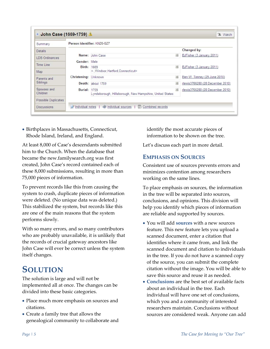| Summary                 | Person identifier: KNZ6-GZ7 |                                                                                                    |                                           |
|-------------------------|-----------------------------|----------------------------------------------------------------------------------------------------|-------------------------------------------|
| <b>Details</b>          |                             |                                                                                                    | Changed by:                               |
| <b>LDS Ordinances</b>   |                             | Name: John Case<br>$\overline{\mathcal{L}}$                                                        | BJFisher (3 January 2011)                 |
|                         | Gender: Male                |                                                                                                    |                                           |
| Time Line               | Birth:                      | 1669<br>$\frac{1}{2}$                                                                              | BJFisher (3 January 2011)                 |
| Map                     |                             | < Windsor. Hartford. Connecticut>                                                                  |                                           |
| Parents and             | Christening:                | Unknown                                                                                            | $\bullet$<br>Ben W. Tenney (29 June 2010) |
| Siblings                |                             | Death: about 1759<br>$\bullet$                                                                     | rlewis3766280 (28 December 2010)          |
| Spouses and<br>Children | <b>Burial: 1759</b>         | $\begin{bmatrix} 1 \\ 1 \end{bmatrix}$<br>Lyndeborough, Hillsborough, New Hampshire, United States | rlewis3766280 (28 December 2010)          |
| Possible Duplicates     |                             |                                                                                                    |                                           |

• Birthplaces in Massachusetts, Connecticut, Rhode Island, Ireland, and England.

At least 8,000 of Case's descendants submitted him to the Church. When the database that became the new.familysearch.org was first created, John Case's record contained each of these 8,000 submissions, resulting in more than 75,000 pieces of information.

To prevent records like this from causing the system to crash, duplicate pieces of information were deleted. (No unique data was deleted.) This stabilized the system, but records like this are one of the main reasons that the system performs slowly.

With so many errors, and so many contributors who are probably unavailable, it is unlikely that the records of crucial gateway ancestors like John Case will ever be correct unless the system itself changes.

# **SOLUTION**

The solution is large and will not be implemented all at once. The changes can be divided into these basic categories.

- Place much more emphasis on sources and citations.
- Create a family tree that allows the genealogical community to collaborate and

identify the most accurate pieces of information to be shown on the tree.

Let's discuss each part in more detail.

### **EMPHASIS ON SOURCES**

Consistent use of sources prevents errors and minimizes contention among researchers working on the same lines.

To place emphasis on sources, the information in the tree will be separated into sources, conclusions, and opinions. This division will help you identify which pieces of information are reliable and supported by sources.

- You will add **sources** with a new sources feature. This new feature lets you upload a scanned document, enter a citation that identifies where it came from, and link the scanned document and citation to individuals in the tree. If you do not have a scanned copy of the source, you can submit the complete citation without the image. You will be able to save this source and reuse it as needed.
- **Conclusions** are the best set of available facts about an individual in the tree. Each individual will have one set of conclusions, which you and a community of interested researchers maintain. Conclusions without sources are considered weak. Anyone can add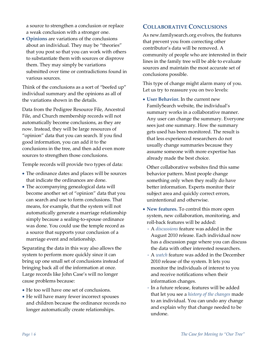a source to strengthen a conclusion or replace a weak conclusion with a stronger one.

• **Opinions** are variations of the conclusions about an individual. They may be "theories" that you post so that you can work with others to substantiate them with sources or disprove them. They may simply be variations submitted over time or contradictions found in various sources.

Think of the conclusions as a sort of "beefed up" individual summary and the opinions as all of the variations shown in the details.

Data from the Pedigree Resource File, Ancestral File, and Church membership records will not automatically become conclusions, as they are now. Instead, they will be large resources of "opinion" data that you can search. If you find good information, you can add it to the conclusions in the tree, and then add even more sources to strengthen those conclusions.

Temple records will provide two types of data:

- The ordinance dates and places will be sources that indicate the ordinances are done.
- The accompanying genealogical data will become another set of "opinion" data that you can search and use to form conclusions. That means, for example, that the system will not automatically generate a marriage relationship simply because a sealing-to-spouse ordinance was done. You could use the temple record as a source that supports your conclusion of a marriage event and relationship.

Separating the data in this way also allows the system to perform more quickly since it can bring up one small set of conclusions instead of bringing back all of the information at once. Large records like John Case's will no longer cause problems because:

- He too will have one set of conclusions.
- He will have many fewer incorrect spouses and children because the ordinance records no longer automatically create relationships.

#### **COLLABORATIVE CONCLUSIONS**

As new.familysearch.org evolves, the features that prevent you from correcting other contributor's data will be removed. A community of people who are interested in their lines in the family tree will be able to evaluate sources and maintain the most accurate set of conclusions possible.

This type of change might alarm many of you. Let us try to reassure you on two levels:

• **User Behavior.** In the current new FamilySearch website, the individual's summary works in a collaborative manner. Any user can change the summary. Everyone sees just one summary. How the summary gets used has been monitored. The result is that less experienced researchers do not usually change summaries because they assume someone with more expertise has already made the best choice.

Other collaborative websites find this same behavior pattern. Most people change something only when they really do have better information. Experts monitor their subject area and quickly correct errors, unintentional and otherwise.

- **New features.** To control this more open system, new collaboration, monitoring, and roll-back features will be added:
	- A *discussions* feature was added in the August 2010 release. Each individual now has a discussion page where you can discuss the data with other interested researchers.
	- A *watch* feature was added in the December 2010 release of the system. It lets you monitor the individuals of interest to you and receive notifications when their information changes.
	- In a future release, features will be added that let you see a *history of the changes* made to an individual. You can undo any change and explain why that change needed to be undone.